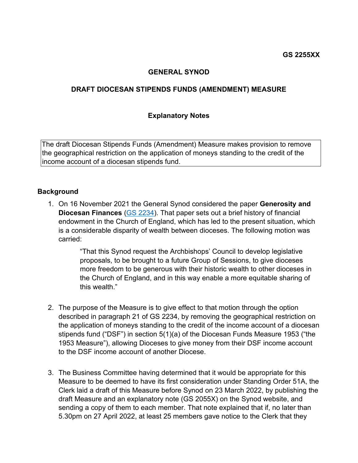## **GENERAL SYNOD**

## **DRAFT DIOCESAN STIPENDS FUNDS (AMENDMENT) MEASURE**

#### **Explanatory Notes**

The draft Diocesan Stipends Funds (Amendment) Measure makes provision to remove the geographical restriction on the application of moneys standing to the credit of the income account of a diocesan stipends fund.

#### **Background**

1. On 16 November 2021 the General Synod considered the paper **Generosity and Diocesan Finances** [\(GS 2234\).](https://www.churchofengland.org/sites/default/files/2021-10/GS%202234%20Generosity%20and%20Diocesan%20Finances.pdf) That paper sets out a brief history of financial endowment in the Church of England, which has led to the present situation, which is a considerable disparity of wealth between dioceses. The following motion was carried:

> "That this Synod request the Archbishops' Council to develop legislative proposals, to be brought to a future Group of Sessions, to give dioceses more freedom to be generous with their historic wealth to other dioceses in the Church of England, and in this way enable a more equitable sharing of this wealth."

- 2. The purpose of the Measure is to give effect to that motion through the option described in paragraph 21 of GS 2234, by removing the geographical restriction on the application of moneys standing to the credit of the income account of a diocesan stipends fund ("DSF") in section 5(1)(a) of the Diocesan Funds Measure 1953 ("the 1953 Measure"), allowing Dioceses to give money from their DSF income account to the DSF income account of another Diocese.
- 3. The Business Committee having determined that it would be appropriate for this Measure to be deemed to have its first consideration under Standing Order 51A, the Clerk laid a draft of this Measure before Synod on 23 March 2022, by publishing the draft Measure and an explanatory note (GS 2055X) on the Synod website, and sending a copy of them to each member. That note explained that if, no later than 5.30pm on 27 April 2022, at least 25 members gave notice to the Clerk that they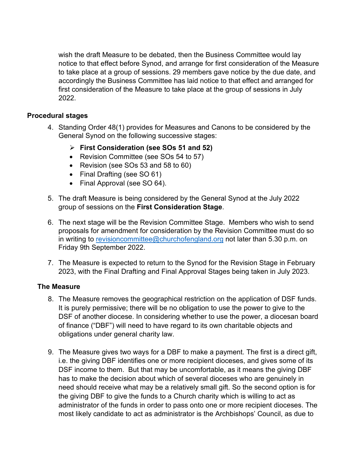wish the draft Measure to be debated, then the Business Committee would lay notice to that effect before Synod, and arrange for first consideration of the Measure to take place at a group of sessions. 29 members gave notice by the due date, and accordingly the Business Committee has laid notice to that effect and arranged for first consideration of the Measure to take place at the group of sessions in July 2022.

## **Procedural stages**

- 4. Standing Order 48(1) provides for Measures and Canons to be considered by the General Synod on the following successive stages:
	- **First Consideration (see SOs 51 and 52)**
	- Revision Committee (see SOs 54 to 57)
	- Revision (see SOs 53 and 58 to 60)
	- Final Drafting (see SO 61)
	- Final Approval (see SO 64).
- 5. The draft Measure is being considered by the General Synod at the July 2022 group of sessions on the **First Consideration Stage**.
- 6. The next stage will be the Revision Committee Stage. Members who wish to send proposals for amendment for consideration by the Revision Committee must do so in writing to [revisioncommittee@churchofengland.org](mailto:revisioncommittee@churchofengland.org) not later than 5.30 p.m. on Friday 9th September 2022.
- 7. The Measure is expected to return to the Synod for the Revision Stage in February 2023, with the Final Drafting and Final Approval Stages being taken in July 2023.

## **The Measure**

- 8. The Measure removes the geographical restriction on the application of DSF funds. It is purely permissive; there will be no obligation to use the power to give to the DSF of another diocese. In considering whether to use the power, a diocesan board of finance ("DBF") will need to have regard to its own charitable objects and obligations under general charity law.
- 9. The Measure gives two ways for a DBF to make a payment. The first is a direct gift, i.e. the giving DBF identifies one or more recipient dioceses, and gives some of its DSF income to them. But that may be uncomfortable, as it means the giving DBF has to make the decision about which of several dioceses who are genuinely in need should receive what may be a relatively small gift. So the second option is for the giving DBF to give the funds to a Church charity which is willing to act as administrator of the funds in order to pass onto one or more recipient dioceses. The most likely candidate to act as administrator is the Archbishops' Council, as due to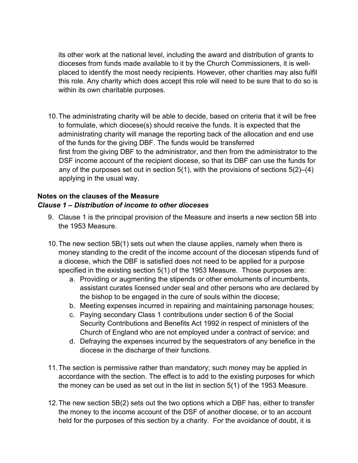its other work at the national level, including the award and distribution of grants to dioceses from funds made available to it by the Church Commissioners, it is wellplaced to identify the most needy recipients. However, other charities may also fulfil this role. Any charity which does accept this role will need to be sure that to do so is within its own charitable purposes.

10.The administrating charity will be able to decide, based on criteria that it will be free to formulate, which diocese(s) should receive the funds. It is expected that the administrating charity will manage the reporting back of the allocation and end use of the funds for the giving DBF. The funds would be transferred first from the giving DBF to the administrator, and then from the administrator to the DSF income account of the recipient diocese, so that its DBF can use the funds for any of the purposes set out in section  $5(1)$ , with the provisions of sections  $5(2)$ – $(4)$ applying in the usual way.

## **Notes on the clauses of the Measure**  *Clause 1 – Distribution of income to other dioceses*

- 9. Clause 1 is the principal provision of the Measure and inserts a new section 5B into the 1953 Measure.
- 10.The new section 5B(1) sets out when the clause applies, namely when there is money standing to the credit of the income account of the diocesan stipends fund of a diocese, which the DBF is satisfied does not need to be applied for a purpose specified in the existing section 5(1) of the 1953 Measure. Those purposes are:
	- a. Providing or augmenting the stipends or other emoluments of incumbents, assistant curates licensed under seal and other persons who are declared by the bishop to be engaged in the cure of souls within the diocese;
	- b. Meeting expenses incurred in repairing and maintaining parsonage houses;
	- c. Paying secondary Class 1 contributions under section 6 of the Social Security Contributions and Benefits Act 1992 in respect of ministers of the Church of England who are not employed under a contract of service; and
	- d. Defraying the expenses incurred by the sequestrators of any benefice in the diocese in the discharge of their functions.
- 11.The section is permissive rather than mandatory; such money may be applied in accordance with the section. The effect is to add to the existing purposes for which the money can be used as set out in the list in section 5(1) of the 1953 Measure.
- 12.The new section 5B(2) sets out the two options which a DBF has, either to transfer the money to the income account of the DSF of another diocese, or to an account held for the purposes of this section by a charity. For the avoidance of doubt, it is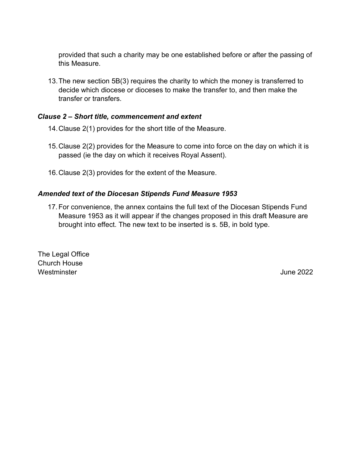provided that such a charity may be one established before or after the passing of this Measure.

13.The new section 5B(3) requires the charity to which the money is transferred to decide which diocese or dioceses to make the transfer to, and then make the transfer or transfers.

## *Clause 2 – Short title, commencement and extent*

- 14.Clause 2(1) provides for the short title of the Measure.
- 15.Clause 2(2) provides for the Measure to come into force on the day on which it is passed (ie the day on which it receives Royal Assent).
- 16.Clause 2(3) provides for the extent of the Measure.

## *Amended text of the Diocesan Stipends Fund Measure 1953*

17.For convenience, the annex contains the full text of the Diocesan Stipends Fund Measure 1953 as it will appear if the changes proposed in this draft Measure are brought into effect. The new text to be inserted is s. 5B, in bold type.

The Legal Office Church House Westminster **Westminster** June 2022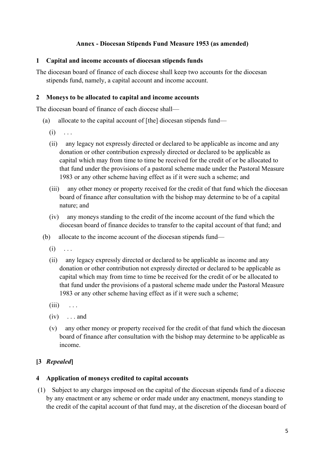## **Annex - Diocesan Stipends Fund Measure 1953 (as amended)**

#### **1 Capital and income accounts of diocesan stipends funds**

The diocesan board of finance of each diocese shall keep two accounts for the diocesan stipends fund, namely, a capital account and income account.

#### **2 Moneys to be allocated to capital and income accounts**

The diocesan board of finance of each diocese shall—

- (a) allocate to the capital account of [the] diocesan stipends fund—
	- $(i) \quad \ldots$
	- (ii) any legacy not expressly directed or declared to be applicable as income and any donation or other contribution expressly directed or declared to be applicable as capital which may from time to time be received for the credit of or be allocated to that fund under the provisions of a pastoral scheme made under the Pastoral Measure 1983 or any other scheme having effect as if it were such a scheme; and
	- (iii) any other money or property received for the credit of that fund which the diocesan board of finance after consultation with the bishop may determine to be of a capital nature; and
	- (iv) any moneys standing to the credit of the income account of the fund which the diocesan board of finance decides to transfer to the capital account of that fund; and
- (b) allocate to the income account of the diocesan stipends fund—
	- $(i) \ldots$
	- (ii) any legacy expressly directed or declared to be applicable as income and any donation or other contribution not expressly directed or declared to be applicable as capital which may from time to time be received for the credit of or be allocated to that fund under the provisions of a pastoral scheme made under the Pastoral Measure 1983 or any other scheme having effect as if it were such a scheme;
	- $(iii) \quad \ldots$
	- $(iv) \dots$  and
	- (v) any other money or property received for the credit of that fund which the diocesan board of finance after consultation with the bishop may determine to be applicable as income.

## **[3** *Repealed***]**

## **4 Application of moneys credited to capital accounts**

(1) Subject to any charges imposed on the capital of the diocesan stipends fund of a diocese by any enactment or any scheme or order made under any enactment, moneys standing to the credit of the capital account of that fund may, at the discretion of the diocesan board of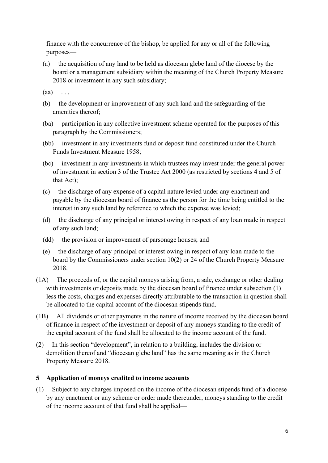finance with the concurrence of the bishop, be applied for any or all of the following purposes—

(a) the acquisition of any land to be held as diocesan glebe land of the diocese by the board or a management subsidiary within the meaning of the Church Property Measure 2018 or investment in any such subsidiary;

 $(aa) \quad \ldots$ 

- (b) the development or improvement of any such land and the safeguarding of the amenities thereof;
- (ba) participation in any collective investment scheme operated for the purposes of this paragraph by the Commissioners;
- (bb) investment in any investments fund or deposit fund constituted under the Church Funds Investment Measure 1958;
- (bc) investment in any investments in which trustees may invest under the general power of investment in section 3 of the Trustee Act 2000 (as restricted by sections 4 and 5 of that Act);
- (c) the discharge of any expense of a capital nature levied under any enactment and payable by the diocesan board of finance as the person for the time being entitled to the interest in any such land by reference to which the expense was levied;
- (d) the discharge of any principal or interest owing in respect of any loan made in respect of any such land;
- (dd) the provision or improvement of parsonage houses; and
- (e) the discharge of any principal or interest owing in respect of any loan made to the board by the Commissioners under section 10(2) or 24 of the Church Property Measure 2018.
- (1A) The proceeds of, or the capital moneys arising from, a sale, exchange or other dealing with investments or deposits made by the diocesan board of finance under subsection (1) less the costs, charges and expenses directly attributable to the transaction in question shall be allocated to the capital account of the diocesan stipends fund.
- (1B) All dividends or other payments in the nature of income received by the diocesan board of finance in respect of the investment or deposit of any moneys standing to the credit of the capital account of the fund shall be allocated to the income account of the fund.
- (2) In this section "development", in relation to a building, includes the division or demolition thereof and "diocesan glebe land" has the same meaning as in the Church Property Measure 2018.

## **5 Application of moneys credited to income accounts**

(1) Subject to any charges imposed on the income of the diocesan stipends fund of a diocese by any enactment or any scheme or order made thereunder, moneys standing to the credit of the income account of that fund shall be applied—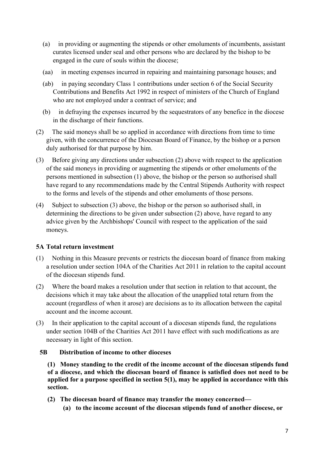- (a) in providing or augmenting the stipends or other emoluments of incumbents, assistant curates licensed under seal and other persons who are declared by the bishop to be engaged in the cure of souls within the diocese;
- (aa) in meeting expenses incurred in repairing and maintaining parsonage houses; and
- (ab) in paying secondary Class 1 contributions under section 6 of the Social Security Contributions and Benefits Act 1992 in respect of ministers of the Church of England who are not employed under a contract of service; and
- (b) in defraying the expenses incurred by the sequestrators of any benefice in the diocese in the discharge of their functions.
- (2) The said moneys shall be so applied in accordance with directions from time to time given, with the concurrence of the Diocesan Board of Finance, by the bishop or a person duly authorised for that purpose by him.
- (3) Before giving any directions under subsection (2) above with respect to the application of the said moneys in providing or augmenting the stipends or other emoluments of the persons mentioned in subsection (1) above, the bishop or the person so authorised shall have regard to any recommendations made by the Central Stipends Authority with respect to the forms and levels of the stipends and other emoluments of those persons.
- (4) Subject to subsection (3) above, the bishop or the person so authorised shall, in determining the directions to be given under subsection (2) above, have regard to any advice given by the Archbishops' Council with respect to the application of the said moneys.

## **5A Total return investment**

- (1) Nothing in this Measure prevents or restricts the diocesan board of finance from making a resolution under section 104A of the Charities Act 2011 in relation to the capital account of the diocesan stipends fund.
- (2) Where the board makes a resolution under that section in relation to that account, the decisions which it may take about the allocation of the unapplied total return from the account (regardless of when it arose) are decisions as to its allocation between the capital account and the income account.
- (3) In their application to the capital account of a diocesan stipends fund, the regulations under section 104B of the Charities Act 2011 have effect with such modifications as are necessary in light of this section.

#### **5B Distribution of income to other dioceses**

**(1) Money standing to the credit of the income account of the diocesan stipends fund of a diocese, and which the diocesan board of finance is satisfied does not need to be applied for a purpose specified in section 5(1), may be applied in accordance with this section.**

- **(2) The diocesan board of finance may transfer the money concerned—**
	- **(a) to the income account of the diocesan stipends fund of another diocese, or**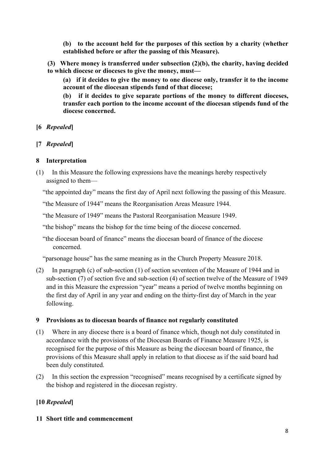**(b) to the account held for the purposes of this section by a charity (whether established before or after the passing of this Measure).**

**(3) Where money is transferred under subsection (2)(b), the charity, having decided to which diocese or dioceses to give the money, must—**

**(a) if it decides to give the money to one diocese only, transfer it to the income account of the diocesan stipends fund of that diocese;**

**(b) if it decides to give separate portions of the money to different dioceses, transfer each portion to the income account of the diocesan stipends fund of the diocese concerned.**

- **[6** *Repealed***]**
- **[7** *Repealed***]**

## **8 Interpretation**

(1) In this Measure the following expressions have the meanings hereby respectively assigned to them—

"the appointed day" means the first day of April next following the passing of this Measure.

"the Measure of 1944" means the Reorganisation Areas Measure 1944.

"the Measure of 1949" means the Pastoral Reorganisation Measure 1949.

"the bishop" means the bishop for the time being of the diocese concerned.

"the diocesan board of finance" means the diocesan board of finance of the diocese concerned.

"parsonage house" has the same meaning as in the Church Property Measure 2018.

(2) In paragraph (c) of sub-section (1) of section seventeen of the Measure of 1944 and in sub-section (7) of section five and sub-section (4) of section twelve of the Measure of 1949 and in this Measure the expression "year" means a period of twelve months beginning on the first day of April in any year and ending on the thirty-first day of March in the year following.

## **9 Provisions as to diocesan boards of finance not regularly constituted**

- (1) Where in any diocese there is a board of finance which, though not duly constituted in accordance with the provisions of the Diocesan Boards of Finance Measure 1925, is recognised for the purpose of this Measure as being the diocesan board of finance, the provisions of this Measure shall apply in relation to that diocese as if the said board had been duly constituted.
- (2) In this section the expression "recognised" means recognised by a certificate signed by the bishop and registered in the diocesan registry.

# **[10** *Repealed***]**

## **11 Short title and commencement**